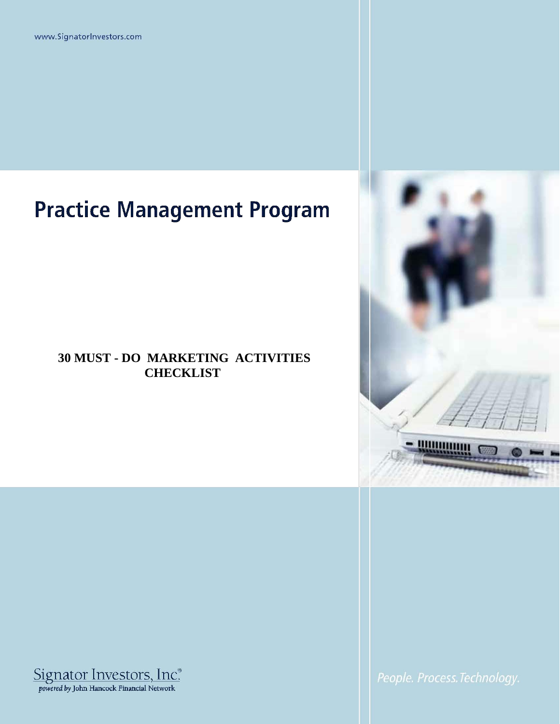www.SignatorInvestors.com

## **Practice Management Program**

## **30 MUST - DO MARKETING ACTIVITIES CHECKLIST**





People. Process. Technology.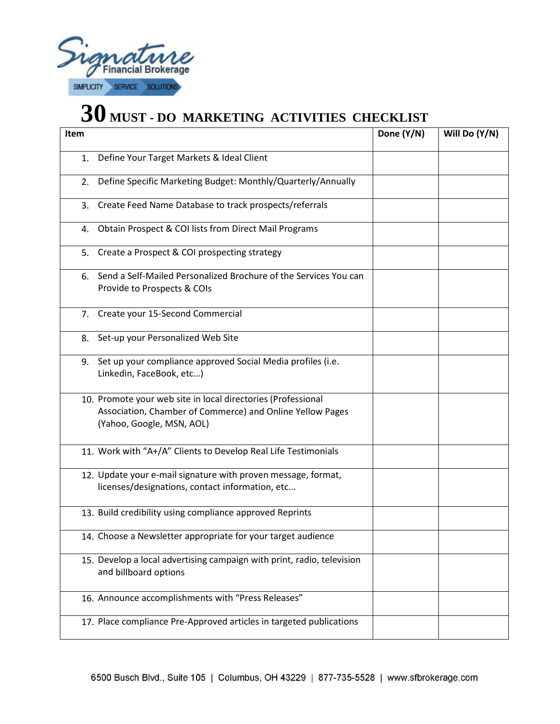

## **30 MUST - DO MARKETING ACTIVITIES CHECKLIST**

| Item                                                                                                                                                   | Done (Y/N) | Will Do (Y/N) |
|--------------------------------------------------------------------------------------------------------------------------------------------------------|------------|---------------|
| Define Your Target Markets & Ideal Client<br>1.                                                                                                        |            |               |
| Define Specific Marketing Budget: Monthly/Quarterly/Annually<br>2.                                                                                     |            |               |
| Create Feed Name Database to track prospects/referrals<br>3.                                                                                           |            |               |
| Obtain Prospect & COI lists from Direct Mail Programs<br>4.                                                                                            |            |               |
| Create a Prospect & COI prospecting strategy<br>5.                                                                                                     |            |               |
| Send a Self-Mailed Personalized Brochure of the Services You can<br>6.<br>Provide to Prospects & COIs                                                  |            |               |
| Create your 15-Second Commercial<br>7.                                                                                                                 |            |               |
| Set-up your Personalized Web Site<br>8.                                                                                                                |            |               |
| Set up your compliance approved Social Media profiles (i.e.<br>9.<br>Linkedin, FaceBook, etc)                                                          |            |               |
| 10. Promote your web site in local directories (Professional<br>Association, Chamber of Commerce) and Online Yellow Pages<br>(Yahoo, Google, MSN, AOL) |            |               |
| 11. Work with "A+/A" Clients to Develop Real Life Testimonials                                                                                         |            |               |
| 12. Update your e-mail signature with proven message, format,<br>licenses/designations, contact information, etc                                       |            |               |
| 13. Build credibility using compliance approved Reprints                                                                                               |            |               |
| 14. Choose a Newsletter appropriate for your target audience                                                                                           |            |               |
| 15. Develop a local advertising campaign with print, radio, television<br>and billboard options                                                        |            |               |
| 16. Announce accomplishments with "Press Releases"                                                                                                     |            |               |
| 17. Place compliance Pre-Approved articles in targeted publications                                                                                    |            |               |